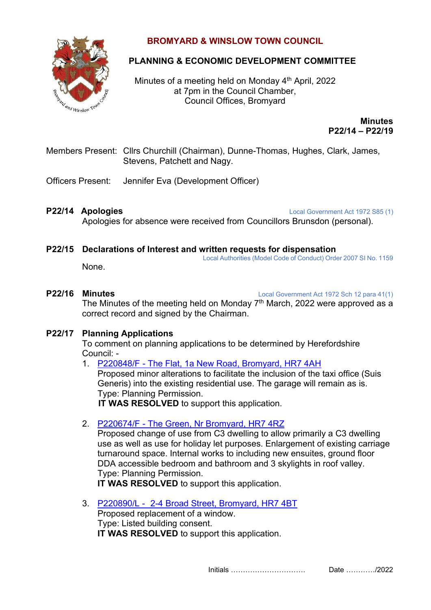

## **BROMYARD & WINSLOW TOWN COUNCIL**

# **PLANNING & ECONOMIC DEVELOPMENT COMMITTEE**

Minutes of a meeting held on Monday 4<sup>th</sup> April, 2022 at 7pm in the Council Chamber, Council Offices, Bromyard

> **Minutes P22/14 – P22/19**

- Members Present: Cllrs Churchill (Chairman), Dunne-Thomas, Hughes, Clark, James, Stevens, Patchett and Nagy.
- Officers Present: Jennifer Eva (Development Officer)

**P22/14 Apologies** Local Government Act 1972 S85 (1)

Apologies for absence were received from Councillors Brunsdon (personal).

**P22/15 Declarations of Interest and written requests for dispensation** Local Authorities (Model Code of Conduct) Order 2007 SI No. 1159

None.

**P22/16 Minutes** Local Government Act 1972 Sch 12 para 41(1)

The Minutes of the meeting held on Monday  $7<sup>th</sup>$  March, 2022 were approved as a correct record and signed by the Chairman.

### **P22/17 Planning Applications**

To comment on planning applications to be determined by Herefordshire Council: -

1. P220848/F - [The Flat, 1a New Road, Bromyard, HR7 4AH](https://www.herefordshire.gov.uk/info/200142/planning_services/planning_application_search/details?id=220848&search-term=E04000716&search-service=parish&search-source=Parish&search-item=Bromyard%20and%20Winslow)

Proposed minor alterations to facilitate the inclusion of the taxi office (Suis Generis) into the existing residential use. The garage will remain as is. Type: Planning Permission.

**IT WAS RESOLVED** to support this application.

2. P220674/F - [The Green, Nr Bromyard, HR7 4RZ](https://www.herefordshire.gov.uk/info/200142/planning_services/planning_application_search/details?id=220674&search-term=E04000716&search-service=parish&search-source=Parish&search-item=Bromyard%20and%20Winslow)

Proposed change of use from C3 dwelling to allow primarily a C3 dwelling use as well as use for holiday let purposes. Enlargement of existing carriage turnaround space. Internal works to including new ensuites, ground floor DDA accessible bedroom and bathroom and 3 skylights in roof valley. Type: Planning Permission.

**IT WAS RESOLVED** to support this application.

3. P220890/L - [2-4 Broad Street, Bromyard, HR7 4BT](https://www.herefordshire.gov.uk/info/200142/planning_services/planning_application_search/details?id=220890&search-term=E04000716&search-service=parish&search-source=Parish&search-item=Bromyard%20and%20Winslow) Proposed replacement of a window. Type: Listed building consent. **IT WAS RESOLVED** to support this application.

Initials …………………………. Date …………/2022